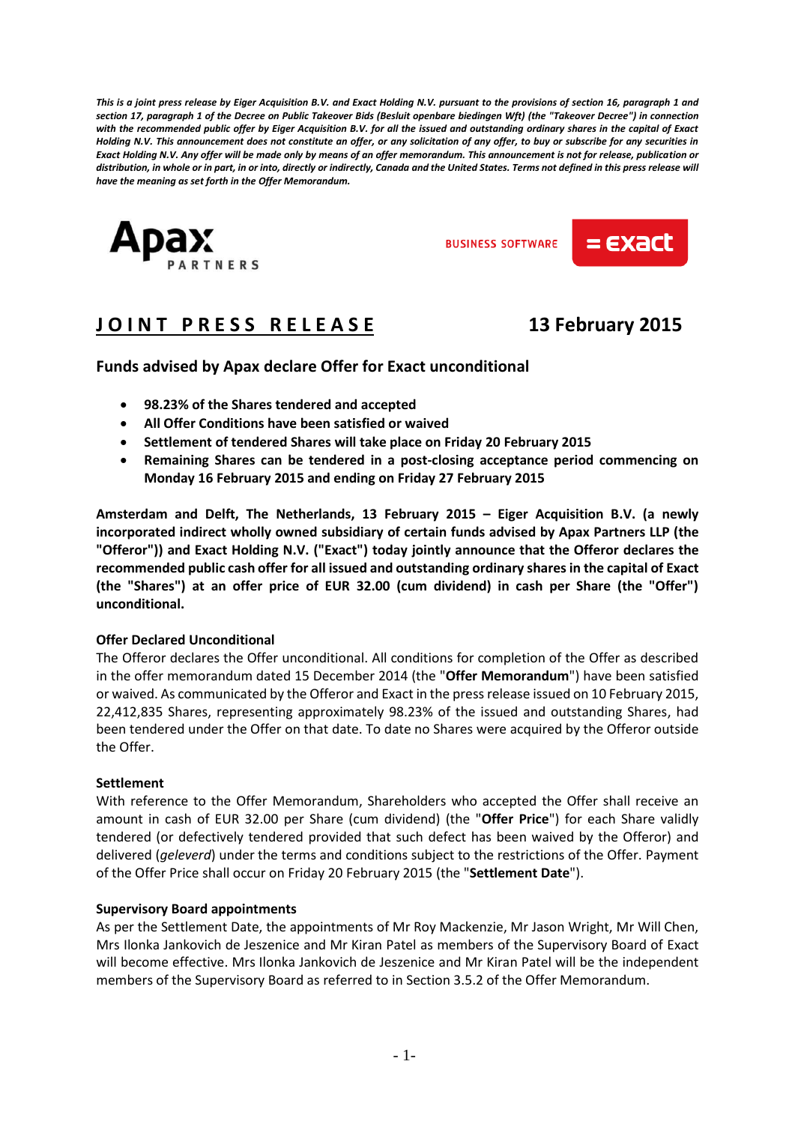*This is a joint press release by Eiger Acquisition B.V. and Exact Holding N.V. pursuant to the provisions of section 16, paragraph 1 and section 17, paragraph 1 of the Decree on Public Takeover Bids (Besluit openbare biedingen Wft) (the "Takeover Decree") in connection with the recommended public offer by Eiger Acquisition B.V. for all the issued and outstanding ordinary shares in the capital of Exact Holding N.V. This announcement does not constitute an offer, or any solicitation of any offer, to buy or subscribe for any securities in Exact Holding N.V. Any offer will be made only by means of an offer memorandum. This announcement is not for release, publication or distribution, in whole or in part, in or into, directly or indirectly, Canada and the United States. Terms not defined in this press release will have the meaning as set forth in the Offer Memorandum.*



**BUSINESS SOFTWARE** 



# **J O I N T P R E S S R E L E A S E 13 February 2015**

## **Funds advised by Apax declare Offer for Exact unconditional**

- **98.23% of the Shares tendered and accepted**
- **All Offer Conditions have been satisfied or waived**
- **Settlement of tendered Shares will take place on Friday 20 February 2015**
- **Remaining Shares can be tendered in a post-closing acceptance period commencing on Monday 16 February 2015 and ending on Friday 27 February 2015**

**Amsterdam and Delft, The Netherlands, 13 February 2015 – Eiger Acquisition B.V. (a newly incorporated indirect wholly owned subsidiary of certain funds advised by Apax Partners LLP (the "Offeror")) and Exact Holding N.V. ("Exact") today jointly announce that the Offeror declares the recommended public cash offer for all issued and outstanding ordinary shares in the capital of Exact (the "Shares") at an offer price of EUR 32.00 (cum dividend) in cash per Share (the "Offer") unconditional.**

#### **Offer Declared Unconditional**

The Offeror declares the Offer unconditional. All conditions for completion of the Offer as described in the offer memorandum dated 15 December 2014 (the "**Offer Memorandum**") have been satisfied or waived. As communicated by the Offeror and Exact in the press release issued on 10 February 2015, 22,412,835 Shares, representing approximately 98.23% of the issued and outstanding Shares, had been tendered under the Offer on that date. To date no Shares were acquired by the Offeror outside the Offer.

#### **Settlement**

With reference to the Offer Memorandum, Shareholders who accepted the Offer shall receive an amount in cash of EUR 32.00 per Share (cum dividend) (the "**Offer Price**") for each Share validly tendered (or defectively tendered provided that such defect has been waived by the Offeror) and delivered (*geleverd*) under the terms and conditions subject to the restrictions of the Offer. Payment of the Offer Price shall occur on Friday 20 February 2015 (the "**Settlement Date**").

#### **Supervisory Board appointments**

As per the Settlement Date, the appointments of Mr Roy Mackenzie, Mr Jason Wright, Mr Will Chen, Mrs Ilonka Jankovich de Jeszenice and Mr Kiran Patel as members of the Supervisory Board of Exact will become effective. Mrs Ilonka Jankovich de Jeszenice and Mr Kiran Patel will be the independent members of the Supervisory Board as referred to in Section 3.5.2 of the Offer Memorandum.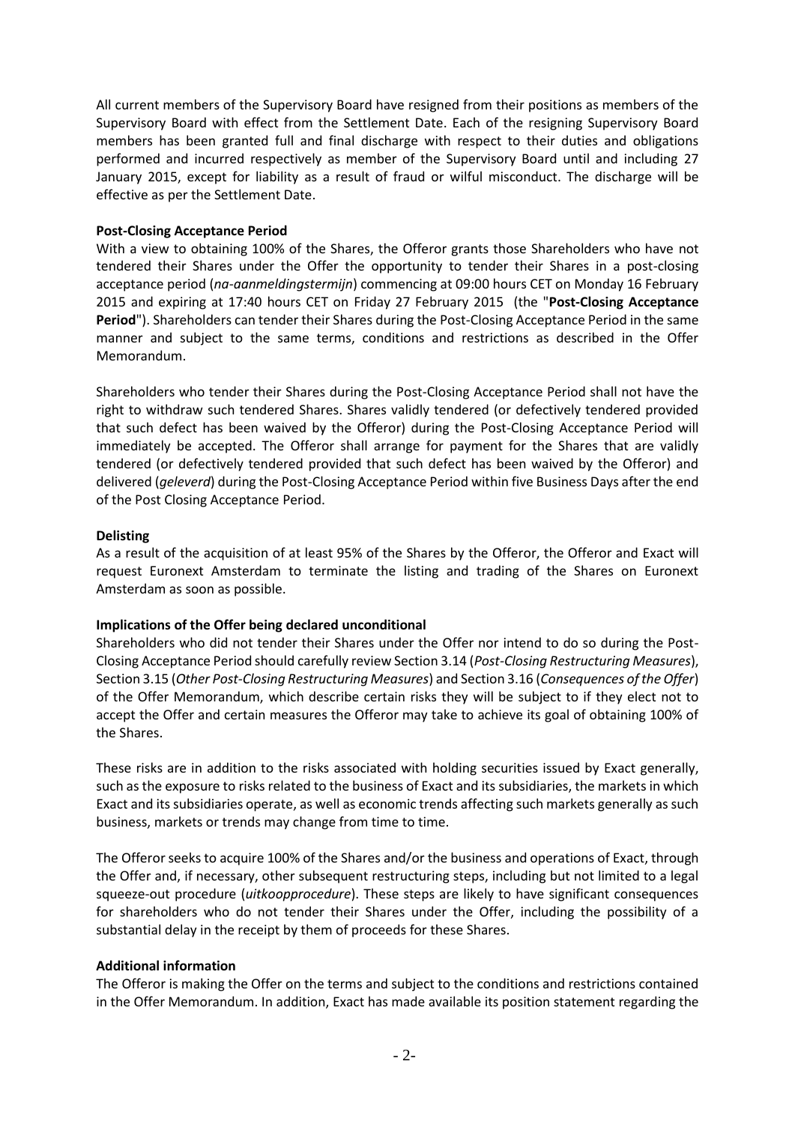All current members of the Supervisory Board have resigned from their positions as members of the Supervisory Board with effect from the Settlement Date. Each of the resigning Supervisory Board members has been granted full and final discharge with respect to their duties and obligations performed and incurred respectively as member of the Supervisory Board until and including 27 January 2015, except for liability as a result of fraud or wilful misconduct. The discharge will be effective as per the Settlement Date.

### **Post-Closing Acceptance Period**

With a view to obtaining 100% of the Shares, the Offeror grants those Shareholders who have not tendered their Shares under the Offer the opportunity to tender their Shares in a post-closing acceptance period (*na-aanmeldingstermijn*) commencing at 09:00 hours CET on Monday 16 February 2015 and expiring at 17:40 hours CET on Friday 27 February 2015 (the "**Post-Closing Acceptance Period**"). Shareholders can tender their Shares during the Post-Closing Acceptance Period in the same manner and subject to the same terms, conditions and restrictions as described in the Offer Memorandum.

Shareholders who tender their Shares during the Post-Closing Acceptance Period shall not have the right to withdraw such tendered Shares. Shares validly tendered (or defectively tendered provided that such defect has been waived by the Offeror) during the Post-Closing Acceptance Period will immediately be accepted. The Offeror shall arrange for payment for the Shares that are validly tendered (or defectively tendered provided that such defect has been waived by the Offeror) and delivered (*geleverd*) during the Post-Closing Acceptance Period within five Business Days after the end of the Post Closing Acceptance Period.

## **Delisting**

As a result of the acquisition of at least 95% of the Shares by the Offeror, the Offeror and Exact will request Euronext Amsterdam to terminate the listing and trading of the Shares on Euronext Amsterdam as soon as possible.

## **Implications of the Offer being declared unconditional**

Shareholders who did not tender their Shares under the Offer nor intend to do so during the Post-Closing Acceptance Period should carefully review Section 3.14 (*Post-Closing Restructuring Measures*), Section 3.15 (*Other Post-Closing Restructuring Measures*) and Section 3.16 (*Consequences of the Offer*) of the Offer Memorandum, which describe certain risks they will be subject to if they elect not to accept the Offer and certain measures the Offeror may take to achieve its goal of obtaining 100% of the Shares.

These risks are in addition to the risks associated with holding securities issued by Exact generally, such as the exposure to risks related to the business of Exact and its subsidiaries, the markets in which Exact and its subsidiaries operate, as well as economic trends affecting such markets generally as such business, markets or trends may change from time to time.

The Offeror seeks to acquire 100% of the Shares and/or the business and operations of Exact, through the Offer and, if necessary, other subsequent restructuring steps, including but not limited to a legal squeeze-out procedure (*uitkoopprocedure*). These steps are likely to have significant consequences for shareholders who do not tender their Shares under the Offer, including the possibility of a substantial delay in the receipt by them of proceeds for these Shares.

#### **Additional information**

The Offeror is making the Offer on the terms and subject to the conditions and restrictions contained in the Offer Memorandum. In addition, Exact has made available its position statement regarding the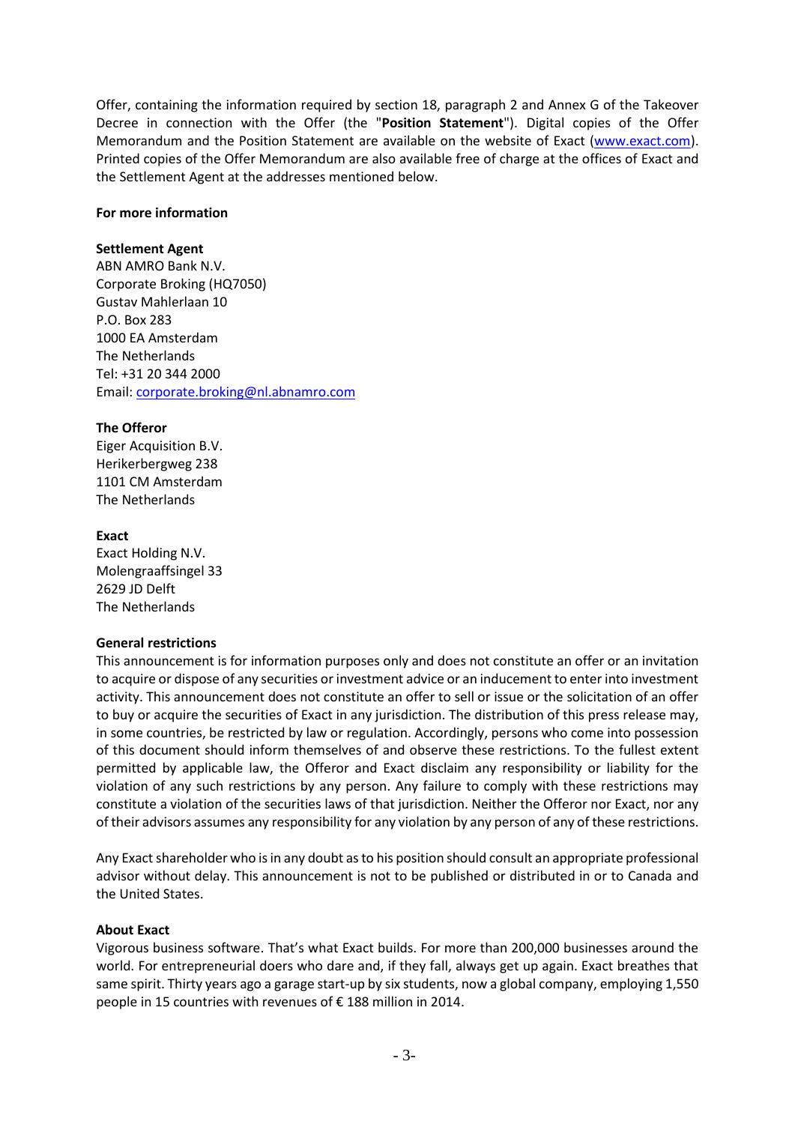Offer, containing the information required by section 18, paragraph 2 and Annex G of the Takeover Decree in connection with the Offer (the "**Position Statement**"). Digital copies of the Offer Memorandum and the Position Statement are available on the website of Exact [\(www.exact.com\)](http://www.exact.com/). Printed copies of the Offer Memorandum are also available free of charge at the offices of Exact and the Settlement Agent at the addresses mentioned below.

#### **For more information**

#### **Settlement Agent**

ABN AMRO Bank N.V. Corporate Broking (HQ7050) Gustav Mahlerlaan 10 P.O. Box 283 1000 EA Amsterdam The Netherlands Tel: +31 20 344 2000 Email: [corporate.broking@nl.abnamro.com](mailto:corporate.broking@nl.abnamro.com)

#### **The Offeror**

Eiger Acquisition B.V. Herikerbergweg 238 1101 CM Amsterdam The Netherlands

#### **Exact**

Exact Holding N.V. Molengraaffsingel 33 2629 JD Delft The Netherlands

#### **General restrictions**

This announcement is for information purposes only and does not constitute an offer or an invitation to acquire or dispose of any securities or investment advice or an inducement to enter into investment activity. This announcement does not constitute an offer to sell or issue or the solicitation of an offer to buy or acquire the securities of Exact in any jurisdiction. The distribution of this press release may, in some countries, be restricted by law or regulation. Accordingly, persons who come into possession of this document should inform themselves of and observe these restrictions. To the fullest extent permitted by applicable law, the Offeror and Exact disclaim any responsibility or liability for the violation of any such restrictions by any person. Any failure to comply with these restrictions may constitute a violation of the securities laws of that jurisdiction. Neither the Offeror nor Exact, nor any of their advisors assumes any responsibility for any violation by any person of any of these restrictions.

Any Exact shareholder who is in any doubt as to his position should consult an appropriate professional advisor without delay. This announcement is not to be published or distributed in or to Canada and the United States.

#### **About Exact**

Vigorous business software. That's what Exact builds. For more than 200,000 businesses around the world. For entrepreneurial doers who dare and, if they fall, always get up again. Exact breathes that same spirit. Thirty years ago a garage start-up by six students, now a global company, employing 1,550 people in 15 countries with revenues of € 188 million in 2014.